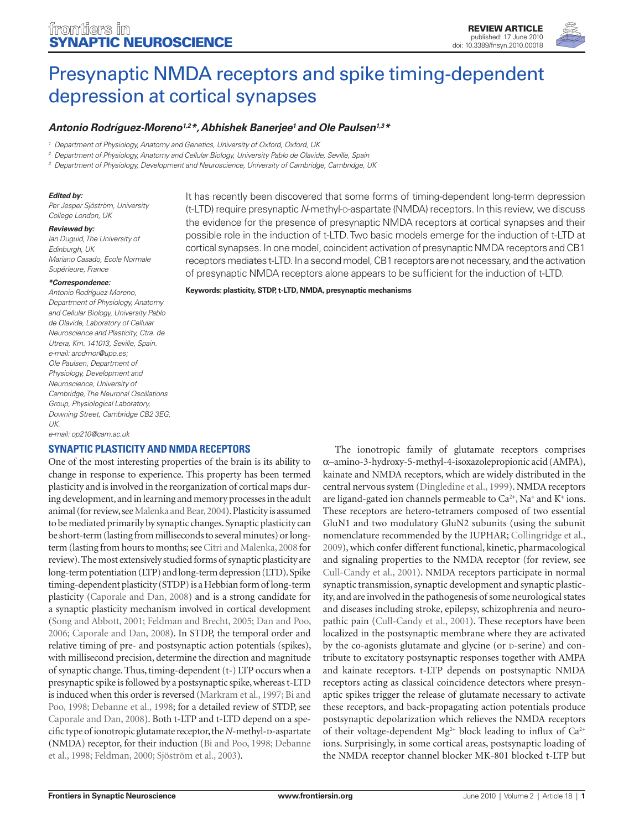

# Presynaptic NMDA receptors and spike timing-dependent depression at cortical synapses

# *Antonio Rodríguez-Moreno1,2\*, Abhishek Banerjee1 and Ole Paulsen1,3\**

*<sup>1</sup> Department of Physiology, Anatomy and Genetics, University of Oxford, Oxford, UK*

*<sup>2</sup> Department of Physiology, Anatomy and Cellular Biology, University Pablo de Olavide, Seville, Spain*

*<sup>3</sup> Department of Physiology, Development and Neuroscience, University of Cambridge, Cambridge, UK*

#### *Edited by:*

*Per Jesper Sjöström, University College London, UK*

#### *Reviewed by:*

*Ian Duguid, The University of Edinburgh, UK Mariano Casado, Ecole Normale Supérieure, France*

#### *\*Correspondence:*

*Antonio Rodríguez-Moreno, Department of Physiology, Anatomy and Cellular Biology, University Pablo de Olavide, Laboratory of Cellular Neuroscience and Plasticity, Ctra. de Utrera, Km. 141013, Seville, Spain. e-mail: arodmor@upo.es; Ole Paulsen, Department of Physiology, Development and Neuroscience, University of Cambridge, The Neuronal Oscillations Group, Physiological Laboratory, Downing Street, Cambridge CB2 3EG, UK.*

*e-mail: op210@cam.ac.uk*

## **Synaptic plasticity and NMDA receptors**

One of the most interesting properties of the brain is its ability to change in response to experience. This property has been termed plasticity and is involved in the reorganization of cortical maps during development, and in learning and memory processes in the adult animal (for review, see Malenka and Bear, 2004). Plasticity is assumed to be mediated primarily by synaptic changes. Synaptic plasticity can be short-term (lasting from milliseconds to several minutes) or longterm (lasting from hours to months; see Citri and Malenka, 2008 for review). The most extensively studied forms of synaptic plasticity are long-term potentiation (LTP) and long-term depression (LTD). Spike timing-dependent plasticity (STDP) is a Hebbian form of long-term plasticity (Caporale and Dan, 2008) and is a strong candidate for a synaptic plasticity mechanism involved in cortical development (Song and Abbott, 2001; Feldman and Brecht, 2005; Dan and Poo, 2006; Caporale and Dan, 2008). In STDP, the temporal order and relative timing of pre- and postsynaptic action potentials (spikes), with millisecond precision, determine the direction and magnitude of synaptic change. Thus, timing-dependent (t-) LTP occurs when a presynaptic spike is followed by a postsynaptic spike, whereas t-LTD is induced when this order is reversed (Markram et al., 1997; Bi and Poo, 1998; Debanne et al., 1998; for a detailed review of STDP, see Caporale and Dan, 2008). Both t-LTP and t-LTD depend on a specific type of ionotropic glutamate receptor, the *N*-methyl-D-aspartate (NMDA) receptor, for their induction (Bi and Poo, 1998; Debanne et al., 1998; Feldman, 2000; Sjöström et al., 2003).

It has recently been discovered that some forms of timing-dependent long-term depression (t-LTD) require presynaptic *N*-methyl-<sub>D</sub>-aspartate (NMDA) receptors. In this review, we discuss the evidence for the presence of presynaptic NMDA receptors at cortical synapses and their possible role in the induction of t-LTD. Two basic models emerge for the induction of t-LTD at cortical synapses. In one model, coincident activation of presynaptic NMDA receptors and CB1 receptors mediates t-LTD. In a second model, CB1 receptors are not necessary, and the activation of presynaptic NMDA receptors alone appears to be sufficient for the induction of t-LTD.

**Keywords: plasticity, STDP, t-LTD, NMDA, presynaptic mechanisms**

The ionotropic family of glutamate receptors comprises α–amino-3-hydroxy-5-methyl-4-isoxazolepropionic acid (AMPA), kainate and NMDA receptors, which are widely distributed in the central nervous system (Dingledine et al., 1999). NMDA receptors are ligand-gated ion channels permeable to  $Ca^{2+}$ , Na<sup>+</sup> and K<sup>+</sup> ions. These receptors are hetero-tetramers composed of two essential GluN1 and two modulatory GluN2 subunits (using the subunit nomenclature recommended by the IUPHAR; Collingridge et al., 2009), which confer different functional, kinetic, pharmacological and signaling properties to the NMDA receptor (for review, see Cull-Candy et al., 2001). NMDA receptors participate in normal synaptic transmission, synaptic development and synaptic plasticity, and are involved in the pathogenesis of some neurological states and diseases including stroke, epilepsy, schizophrenia and neuropathic pain (Cull-Candy et al., 2001). These receptors have been localized in the postsynaptic membrane where they are activated by the co-agonists glutamate and glycine (or  $D$ -serine) and contribute to excitatory postsynaptic responses together with AMPA and kainate receptors. t-LTP depends on postsynaptic NMDA receptors acting as classical coincidence detectors where presynaptic spikes trigger the release of glutamate necessary to activate these receptors, and back-propagating action potentials produce postsynaptic depolarization which relieves the NMDA receptors of their voltage-dependent  $Mg^{2+}$  block leading to influx of Ca<sup>2+</sup> ions. Surprisingly, in some cortical areas, postsynaptic loading of the NMDA receptor channel blocker MK-801 blocked t-LTP but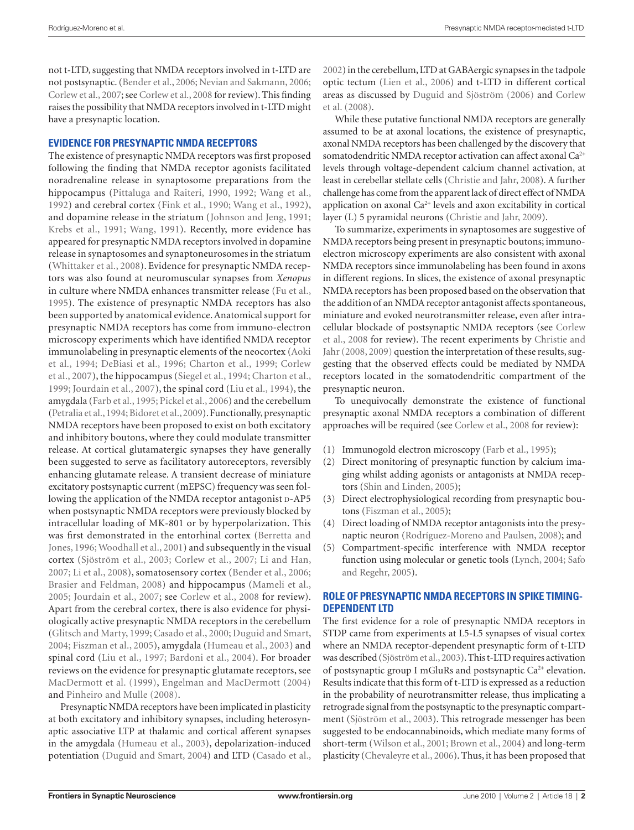not t-LTD, suggesting that NMDA receptors involved in t-LTD are not postsynaptic. (Bender et al., 2006; Nevian and Sakmann, 2006; Corlew et al., 2007; see Corlew et al., 2008 for review). This finding raises the possibility that NMDA receptors involved in t-LTD might have a presynaptic location.

## **Evidence for presynaptic NMDA receptors**

The existence of presynaptic NMDA receptors was first proposed following the finding that NMDA receptor agonists facilitated noradrenaline release in synaptosome preparations from the hippocampus (Pittaluga and Raiteri, 1990, 1992; Wang et al., 1992) and cerebral cortex (Fink et al., 1990; Wang et al., 1992), and dopamine release in the striatum (Johnson and Jeng, 1991; Krebs et al., 1991; Wang, 1991). Recently, more evidence has appeared for presynaptic NMDA receptors involved in dopamine release in synaptosomes and synaptoneurosomes in the striatum (Whittaker et al., 2008). Evidence for presynaptic NMDA receptors was also found at neuromuscular synapses from *Xenopus* in culture where NMDA enhances transmitter release (Fu et al., 1995). The existence of presynaptic NMDA receptors has also been supported by anatomical evidence. Anatomical support for presynaptic NMDA receptors has come from immuno-electron microscopy experiments which have identified NMDA receptor immunolabeling in presynaptic elements of the neocortex (Aoki et al., 1994; DeBiasi et al., 1996; Charton et al., 1999; Corlew et al., 2007), the hippocampus (Siegel et al., 1994; Charton et al., 1999; Jourdain et al., 2007), the spinal cord (Liu et al., 1994), the amygdala (Farb et al., 1995; Pickel et al., 2006) and the cerebellum (Petralia et al., 1994; Bidoret et al., 2009). Functionally, presynaptic NMDA receptors have been proposed to exist on both excitatory and inhibitory boutons, where they could modulate transmitter release. At cortical glutamatergic synapses they have generally been suggested to serve as facilitatory autoreceptors, reversibly enhancing glutamate release. A transient decrease of miniature excitatory postsynaptic current (mEPSC) frequency was seen following the application of the NMDA receptor antagonist D-AP5 when postsynaptic NMDA receptors were previously blocked by intracellular loading of MK-801 or by hyperpolarization. This was first demonstrated in the entorhinal cortex (Berretta and Jones, 1996; Woodhall et al., 2001) and subsequently in the visual cortex (Sjöström et al., 2003; Corlew et al., 2007; Li and Han, 2007; Li et al., 2008), somatosensory cortex (Bender et al., 2006; Brasier and Feldman, 2008) and hippocampus (Mameli et al., 2005; Jourdain et al., 2007; see Corlew et al., 2008 for review). Apart from the cerebral cortex, there is also evidence for physiologically active presynaptic NMDA receptors in the cerebellum (Glitsch and Marty, 1999; Casado et al., 2000; Duguid and Smart, 2004; Fiszman et al., 2005), amygdala (Humeau et al., 2003) and spinal cord (Liu et al., 1997; Bardoni et al., 2004). For broader reviews on the evidence for presynaptic glutamate receptors, see MacDermott et al. (1999), Engelman and MacDermott (2004) and Pinheiro and Mulle (2008).

Presynaptic NMDA receptors have been implicated in plasticity at both excitatory and inhibitory synapses, including heterosynaptic associative LTP at thalamic and cortical afferent synapses in the amygdala (Humeau et al., 2003), depolarization-induced potentiation (Duguid and Smart, 2004) and LTD (Casado et al.,

2002) in the cerebellum, LTD at GABAergic synapses in the tadpole optic tectum (Lien et al., 2006) and t-LTD in different cortical areas as discussed by Duguid and Sjöström (2006) and Corlew et al. (2008).

While these putative functional NMDA receptors are generally assumed to be at axonal locations, the existence of presynaptic, axonal NMDA receptors has been challenged by the discovery that somatodendritic NMDA receptor activation can affect axonal Ca<sup>2+</sup> levels through voltage-dependent calcium channel activation, at least in cerebellar stellate cells (Christie and Jahr, 2008). A further challenge has come from the apparent lack of direct effect of NMDA application on axonal Ca<sup>2+</sup> levels and axon excitability in cortical layer (L) 5 pyramidal neurons (Christie and Jahr, 2009).

To summarize, experiments in synaptosomes are suggestive of NMDA receptors being present in presynaptic boutons; immunoelectron microscopy experiments are also consistent with axonal NMDA receptors since immunolabeling has been found in axons in different regions. In slices, the existence of axonal presynaptic NMDA receptors has been proposed based on the observation that the addition of an NMDA receptor antagonist affects spontaneous, miniature and evoked neurotransmitter release, even after intracellular blockade of postsynaptic NMDA receptors (see Corlew et al., 2008 for review). The recent experiments by Christie and Jahr (2008, 2009) question the interpretation of these results, suggesting that the observed effects could be mediated by NMDA receptors located in the somatodendritic compartment of the presynaptic neuron.

To unequivocally demonstrate the existence of functional presynaptic axonal NMDA receptors a combination of different approaches will be required (see Corlew et al., 2008 for review):

- (1) Immunogold electron microscopy (Farb et al., 1995);
- (2) Direct monitoring of presynaptic function by calcium imaging whilst adding agonists or antagonists at NMDA receptors (Shin and Linden, 2005);
- (3) Direct electrophysiological recording from presynaptic boutons (Fiszman et al., 2005);
- (4) Direct loading of NMDA receptor antagonists into the presynaptic neuron (Rodríguez-Moreno and Paulsen, 2008); and
- (5) Compartment-specific interference with NMDA receptor function using molecular or genetic tools (Lynch, 2004; Safo and Regehr, 2005).

## **Role of presynaptic NMDA receptors in spike timingdependent LTD**

The first evidence for a role of presynaptic NMDA receptors in STDP came from experiments at L5-L5 synapses of visual cortex where an NMDA receptor-dependent presynaptic form of t-LTD was described (Sjöström et al., 2003). This t-LTD requires activation of postsynaptic group I mGluRs and postsynaptic Ca<sup>2+</sup> elevation. Results indicate that this form of t-LTD is expressed as a reduction in the probability of neurotransmitter release, thus implicating a retrograde signal from the postsynaptic to the presynaptic compartment (Sjöström et al., 2003). This retrograde messenger has been suggested to be endocannabinoids, which mediate many forms of short-term (Wilson et al., 2001; Brown et al., 2004) and long-term plasticity (Chevaleyre et al., 2006). Thus, it has been proposed that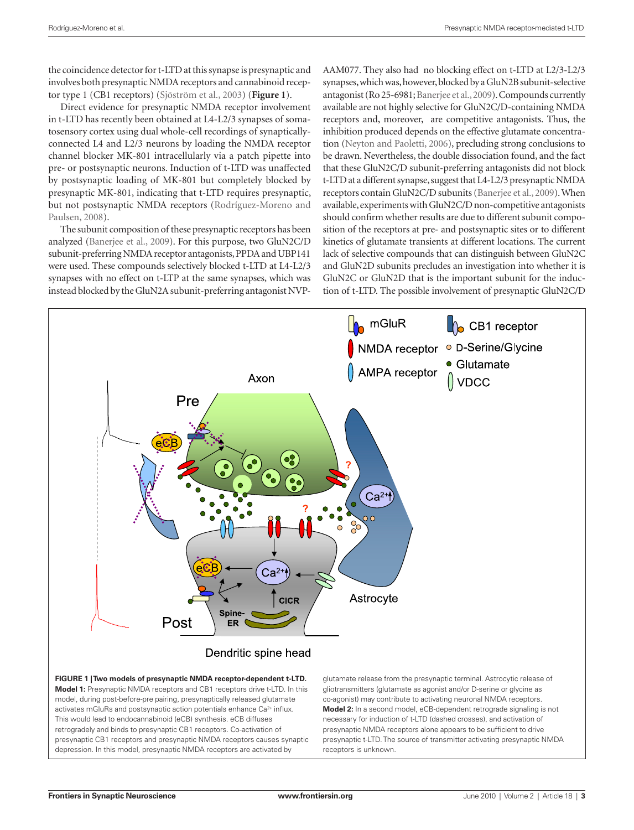the coincidence detector for t-LTD at this synapse is presynaptic and involves both presynaptic NMDA receptors and cannabinoid receptor type 1 (CB1 receptors) (Sjöström et al., 2003) (**Figure 1**).

Direct evidence for presynaptic NMDA receptor involvement in t-LTD has recently been obtained at L4-L2/3 synapses of somatosensory cortex using dual whole-cell recordings of synapticallyconnected L4 and L2/3 neurons by loading the NMDA receptor channel blocker MK-801 intracellularly via a patch pipette into pre- or postsynaptic neurons. Induction of t-LTD was unaffected by postsynaptic loading of MK-801 but completely blocked by presynaptic MK-801, indicating that t-LTD requires presynaptic, but not postsynaptic NMDA receptors (Rodríguez-Moreno and Paulsen, 2008).

The subunit composition of these presynaptic receptors has been analyzed (Banerjee et al., 2009). For this purpose, two GluN2C/D subunit-preferring NMDA receptor antagonists, PPDA and UBP141 were used. These compounds selectively blocked t-LTD at L4-L2/3 synapses with no effect on t-LTP at the same synapses, which was instead blocked by the GluN2A subunit-preferring antagonist NVP-

AAM077. They also had no blocking effect on t-LTD at L2/3-L2/3 synapses, which was, however, blocked by a GluN2B subunit-selective antagonist (Ro 25-6981; Banerjee et al., 2009). Compounds currently available are not highly selective for GluN2C/D-containing NMDA receptors and, moreover, are competitive antagonists. Thus, the inhibition produced depends on the effective glutamate concentration (Neyton and Paoletti, 2006), precluding strong conclusions to be drawn. Nevertheless, the double dissociation found, and the fact that these GluN2C/D subunit-preferring antagonists did not block t-LTD at a different synapse, suggest that L4-L2/3 presynaptic NMDA receptors contain GluN2C/D subunits (Banerjee et al., 2009). When available, experiments with GluN2C/D non-competitive antagonists should confirm whether results are due to different subunit composition of the receptors at pre- and postsynaptic sites or to different kinetics of glutamate transients at different locations. The current lack of selective compounds that can distinguish between GluN2C and GluN2D subunits precludes an investigation into whether it is GluN2C or GluN2D that is the important subunit for the induction of t-LTD. The possible involvement of presynaptic GluN2C/D

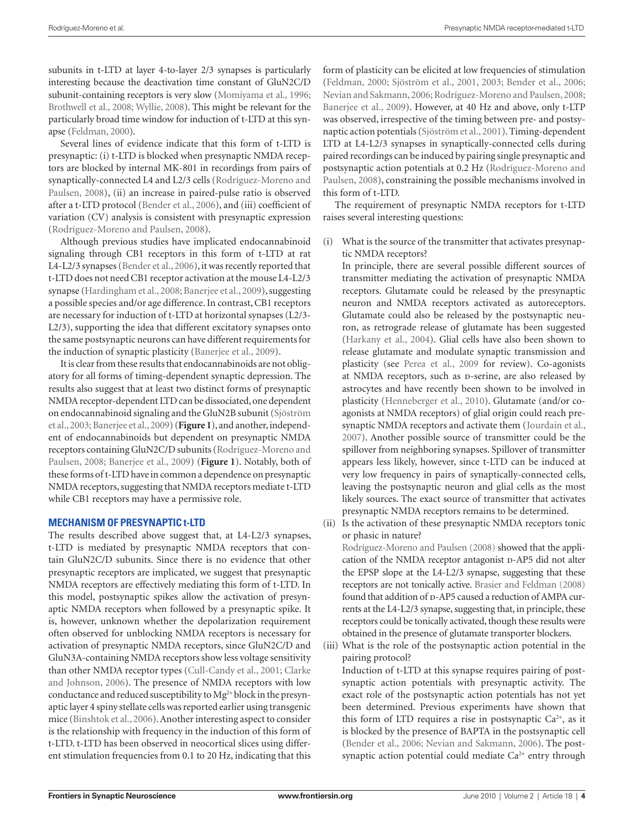subunits in t-LTD at layer 4-to-layer 2/3 synapses is particularly interesting because the deactivation time constant of GluN2C/D subunit-containing receptors is very slow (Momiyama et al., 1996; Brothwell et al., 2008; Wyllie, 2008). This might be relevant for the particularly broad time window for induction of t-LTD at this synapse (Feldman, 2000).

Several lines of evidence indicate that this form of t-LTD is presynaptic: (i) t-LTD is blocked when presynaptic NMDA receptors are blocked by internal MK-801 in recordings from pairs of synaptically-connected L4 and L2/3 cells (Rodríguez-Moreno and Paulsen, 2008), (ii) an increase in paired-pulse ratio is observed after a t-LTD protocol (Bender et al., 2006), and (iii) coefficient of variation (CV) analysis is consistent with presynaptic expression (Rodríguez-Moreno and Paulsen, 2008).

Although previous studies have implicated endocannabinoid signaling through CB1 receptors in this form of t-LTD at rat L4-L2/3 synapses (Bender et al., 2006), it was recently reported that t-LTD does not need CB1 receptor activation at the mouse L4-L2/3 synapse (Hardingham et al., 2008; Banerjee et al., 2009), suggesting a possible species and/or age difference. In contrast, CB1 receptors are necessary for induction of t-LTD at horizontal synapses (L2/3- L2/3), supporting the idea that different excitatory synapses onto the same postsynaptic neurons can have different requirements for the induction of synaptic plasticity (Banerjee et al., 2009).

It is clear from these results that endocannabinoids are not obligatory for all forms of timing-dependent synaptic depression. The results also suggest that at least two distinct forms of presynaptic NMDA receptor-dependent LTD can be dissociated, one dependent on endocannabinoid signaling and the GluN2B subunit (Sjöström et al., 2003; Banerjee et al., 2009) (**Figure 1**), and another, independent of endocannabinoids but dependent on presynaptic NMDA receptors containing GluN2C/D subunits (Rodríguez-Moreno and Paulsen, 2008; Banerjee et al., 2009) (**Figure 1**). Notably, both of these forms of t-LTD have in common a dependence on presynaptic NMDA receptors, suggesting that NMDA receptors mediate t-LTD while CB1 receptors may have a permissive role.

## **Mechanism of presynaptic t-LTD**

The results described above suggest that, at L4-L2/3 synapses, t-LTD is mediated by presynaptic NMDA receptors that contain GluN2C/D subunits. Since there is no evidence that other presynaptic receptors are implicated, we suggest that presynaptic NMDA receptors are effectively mediating this form of t-LTD. In this model, postsynaptic spikes allow the activation of presynaptic NMDA receptors when followed by a presynaptic spike. It is, however, unknown whether the depolarization requirement often observed for unblocking NMDA receptors is necessary for activation of presynaptic NMDA receptors, since GluN2C/D and GluN3A-containing NMDA receptors show less voltage sensitivity than other NMDA receptor types (Cull-Candy et al., 2001; Clarke and Johnson, 2006). The presence of NMDA receptors with low conductance and reduced susceptibility to Mg<sup>2+</sup> block in the presynaptic layer 4 spiny stellate cells was reported earlier using transgenic mice (Binshtok et al., 2006). Another interesting aspect to consider is the relationship with frequency in the induction of this form of t-LTD. t-LTD has been observed in neocortical slices using different stimulation frequencies from 0.1 to 20 Hz, indicating that this

form of plasticity can be elicited at low frequencies of stimulation (Feldman, 2000; Sjöström et al., 2001, 2003; Bender et al., 2006; Nevian and Sakmann, 2006; Rodríguez-Moreno and Paulsen, 2008; Banerjee et al., 2009). However, at 40 Hz and above, only t-LTP was observed, irrespective of the timing between pre- and postsynaptic action potentials (Sjöström et al., 2001). Timing-dependent LTD at L4-L2/3 synapses in synaptically-connected cells during paired recordings can be induced by pairing single presynaptic and postsynaptic action potentials at 0.2 Hz (Rodríguez-Moreno and Paulsen, 2008), constraining the possible mechanisms involved in this form of t-LTD.

The requirement of presynaptic NMDA receptors for t-LTD raises several interesting questions:

(i) What is the source of the transmitter that activates presynaptic NMDA receptors?

In principle, there are several possible different sources of transmitter mediating the activation of presynaptic NMDA receptors. Glutamate could be released by the presynaptic neuron and NMDA receptors activated as autoreceptors. Glutamate could also be released by the postsynaptic neuron, as retrograde release of glutamate has been suggested (Harkany et al., 2004). Glial cells have also been shown to release glutamate and modulate synaptic transmission and plasticity (see Perea et al., 2009 for review). Co-agonists at NMDA receptors, such as p-serine, are also released by astrocytes and have recently been shown to be involved in plasticity (Henneberger et al., 2010). Glutamate (and/or coagonists at NMDA receptors) of glial origin could reach presynaptic NMDA receptors and activate them (Jourdain et al., 2007). Another possible source of transmitter could be the spillover from neighboring synapses. Spillover of transmitter appears less likely, however, since t-LTD can be induced at very low frequency in pairs of synaptically-connected cells, leaving the postsynaptic neuron and glial cells as the most likely sources. The exact source of transmitter that activates presynaptic NMDA receptors remains to be determined.

(ii) Is the activation of these presynaptic NMDA receptors tonic or phasic in nature?

Rodríguez-Moreno and Paulsen (2008) showed that the application of the NMDA receptor antagonist D-AP5 did not alter the EPSP slope at the L4-L2/3 synapse, suggesting that these receptors are not tonically active. Brasier and Feldman (2008) found that addition of p-AP5 caused a reduction of AMPA currents at the L4-L2/3 synapse, suggesting that, in principle, these receptors could be tonically activated, though these results were obtained in the presence of glutamate transporter blockers.

(iii) What is the role of the postsynaptic action potential in the pairing protocol?

Induction of t-LTD at this synapse requires pairing of postsynaptic action potentials with presynaptic activity. The exact role of the postsynaptic action potentials has not yet been determined. Previous experiments have shown that this form of LTD requires a rise in postsynaptic  $Ca<sup>2+</sup>$ , as it is blocked by the presence of BAPTA in the postsynaptic cell (Bender et al., 2006; Nevian and Sakmann, 2006). The postsynaptic action potential could mediate  $Ca<sup>2+</sup>$  entry through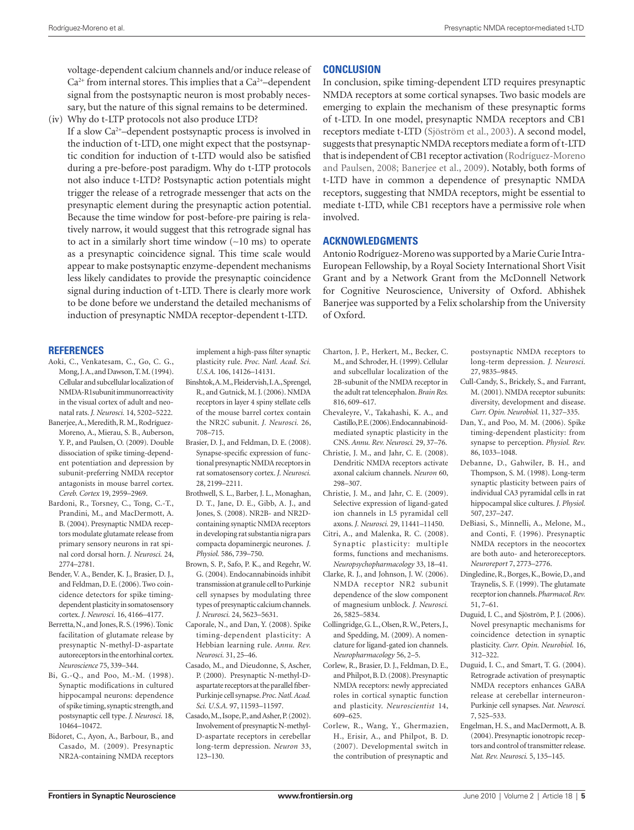voltage-dependent calcium channels and/or induce release of  $Ca<sup>2+</sup>$  from internal stores. This implies that a  $Ca<sup>2+</sup>$ -dependent signal from the postsynaptic neuron is most probably necessary, but the nature of this signal remains to be determined.

(iv) Why do t-LTP protocols not also produce LTD?

If a slow Ca2<sup>+</sup> –dependent postsynaptic process is involved in the induction of t-LTD, one might expect that the postsynaptic condition for induction of t-LTD would also be satisfied during a pre-before-post paradigm. Why do t-LTP protocols not also induce t-LTD? Postsynaptic action potentials might trigger the release of a retrograde messenger that acts on the presynaptic element during the presynaptic action potential. Because the time window for post-before-pre pairing is relatively narrow, it would suggest that this retrograde signal has to act in a similarly short time window (∼10 ms) to operate as a presynaptic coincidence signal. This time scale would appear to make postsynaptic enzyme-dependent mechanisms less likely candidates to provide the presynaptic coincidence signal during induction of t-LTD. There is clearly more work to be done before we understand the detailed mechanisms of induction of presynaptic NMDA receptor-dependent t-LTD.

#### **References**

- Aoki, C., Venkatesam, C., Go, C. G., Mong, J. A., and Dawson, T. M. (1994). Cellular and subcellular localization of NMDA-R1subunit immunorreactivity in the visual cortex of adult and neonatal rats. *J. Neurosci.* 14, 5202–5222.
- Banerjee, A., Meredith, R. M., Rodríguez-Moreno, A., Mierau, S. B., Auberson, Y. P., and Paulsen, O. (2009). Double dissociation of spike timing-dependent potentiation and depression by subunit-preferring NMDA receptor antagonists in mouse barrel cortex. *Cereb. Cortex* 19, 2959–2969.
- Bardoni, R., Torsney, C., Tong, C.-T., Prandini, M., and MacDermott, A. B. (2004). Presynaptic NMDA receptors modulate glutamate release from primary sensory neurons in rat spinal cord dorsal horn. *J. Neurosci.* 24, 2774–2781.
- Bender, V. A., Bender, K. J., Brasier, D. J., and Feldman, D. E. (2006). Two coincidence detectors for spike timingdependent plasticity in somatosensory cortex. *J. Neurosci.* 16, 4166–4177.
- Berretta, N., and Jones, R. S. (1996). Tonic facilitation of glutamate release by presynaptic N-methyl-D-aspartate autoreceptors in the entorhinal cortex. *Neuroscience* 75, 339–344.
- Bi, G.-Q., and Poo, M.-M. (1998). Synaptic modifications in cultured hippocampal neurons: dependence of spike timing, synaptic strength, and postsynaptic cell type. *J. Neurosci.* 18, 10464–10472.
- Bidoret, C., Ayon, A., Barbour, B., and Casado, M. (2009). Presynaptic NR2A-containing NMDA receptors

implement a high-pass filter synaptic plasticity rule. *Proc. Natl. Acad. Sci. U.S.A.* 106, 14126–14131.

- Binshtok, A. M., Fleidervish, I. A., Sprengel, R., and Gutnick, M. J. (2006). NMDA receptors in layer 4 spiny stellate cells of the mouse barrel cortex contain the NR2C subunit. *J. Neurosci.* 26, 708–715.
- Brasier, D. J., and Feldman, D. E. (2008). Synapse-specific expression of functional presynaptic NMDA receptors in rat somatosensory cortex. *J. Neurosci.*  28, 2199–2211.
- Brothwell, S. L., Barber, J. L., Monaghan, D. T., Jane, D. E., Gibb, A. J., and Jones, S. (2008). NR2B- and NR2Dcontaining synaptic NMDA receptors in developing rat substantia nigra pars compacta dopaminergic neurones. *J. Physiol.* 586, 739–750.
- Brown, S. P., Safo, P. K., and Regehr, W. G. (2004). Endocannabinoids inhibit transmission at granule cell to Purkinje cell synapses by modulating three types of presynaptic calcium channels. *J. Neurosci.* 24, 5623–5631.
- Caporale, N., and Dan, Y. (2008). Spike timing-dependent plasticity: A Hebbian learning rule. *Annu. Rev. Neurosci.* 31, 25–46.
- Casado, M., and Dieudonne, S, Ascher, P. (2000). Presynaptic N-methyl-Daspartate receptors at the parallel fiber-Purkinje cell synapse. *Proc. Natl. Acad. Sci. U.S.A.* 97, 11593–11597.
- Casado, M., Isope, P., and Asher, P. (2002). Involvement of presynaptic N-methyl-D-aspartate receptors in cerebellar long-term depression. *Neuron* 33, 123–130.

## **Conclusion**

In conclusion, spike timing-dependent LTD requires presynaptic NMDA receptors at some cortical synapses. Two basic models are emerging to explain the mechanism of these presynaptic forms of t-LTD. In one model, presynaptic NMDA receptors and CB1 receptors mediate t-LTD (Sjöström et al., 2003). A second model, suggests that presynaptic NMDA receptors mediate a form of t-LTD that is independent of CB1 receptor activation (Rodríguez-Moreno and Paulsen, 2008; Banerjee et al., 2009). Notably, both forms of t-LTD have in common a dependence of presynaptic NMDA receptors, suggesting that NMDA receptors, might be essential to mediate t-LTD, while CB1 receptors have a permissive role when involved.

#### **Acknowledgments**

Antonio Rodríguez-Moreno was supported by a Marie Curie Intra-European Fellowship, by a Royal Society International Short Visit Grant and by a Network Grant from the McDonnell Network for Cognitive Neuroscience, University of Oxford. Abhishek Banerjee was supported by a Felix scholarship from the University of Oxford.

- Charton, J. P., Herkert, M., Becker, C. M., and Schroder, H. (1999). Cellular and subcellular localization of the 2B-subunit of the NMDA receptor in the adult rat telencephalon. *Brain Res.*  816, 609–617.
- Chevaleyre, V., Takahashi, K. A., and Castillo, P.E. (2006). Endocannabinoidmediated synaptic plasticity in the CNS. *Annu. Rev. Neurosci.* 29, 37–76.
- Christie, J. M., and Jahr, C. E. (2008). Dendritic NMDA receptors activate axonal calcium channels. *Neuron* 60, 298–307.
- Christie, J. M., and Jahr, C. E. (2009). Selective expression of ligand-gated ion channels in L5 pyramidal cell axons. *J. Neurosci.* 29, 11441–11450.
- Citri, A., and Malenka, R. C. (2008). Synaptic plasticity: multiple forms, functions and mechanisms. *Neuropsychopharmacology* 33, 18–41.
- Clarke, R. J., and Johnson, J. W. (2006). NMDA receptor NR2 subunit dependence of the slow component of magnesium unblock. *J. Neurosci.*  26, 5825–5834.
- Collingridge, G. L., Olsen, R. W., Peters, J., and Spedding, M. (2009). A nomenclature for ligand-gated ion channels. *Neuropharmacology* 56, 2–5.
- Corlew, R., Brasier, D. J., Feldman, D. E., and Philpot, B. D. (2008). Presynaptic NMDA receptors: newly appreciated roles in cortical synaptic function and plasticity. *Neuroscientist* 14, 609–625.
- Corlew, R., Wang, Y., Ghermazien, H., Erisir, A., and Philpot, B. D. (2007). Developmental switch in the contribution of presynaptic and

postsynaptic NMDA receptors to long-term depression. *J. Neurosci.*  27, 9835–9845.

- Cull-Candy, S., Brickely, S., and Farrant, M. (2001). NMDA receptor subunits: diversity, development and disease. *Curr. Opin. Neurobiol.* 11, 327–335.
- Dan, Y., and Poo, M. M. (2006). Spike timing-dependent plasticity: from synapse to perception. *Physiol. Rev.*  86, 1033–1048.
- Debanne, D., Gahwiler, B. H., and Thompson, S. M. (1998). Long-term synaptic plasticity between pairs of individual CA3 pyramidal cells in rat hippocampal slice cultures. *J. Physiol.*  507, 237–247.
- DeBiasi, S., Minnelli, A., Melone, M., and Conti, F. (1996). Presynaptic NMDA receptors in the neocortex are both auto- and heteroreceptors. *Neuroreport* 7, 2773–2776.
- Dingledine, R., Borges, K., Bowie, D., and Traynelis, S. F. (1999). The glutamate receptor ion channels. *Pharmacol. Rev.*  51, 7–61.
- Duguid, I. C., and Sjöström, P. J. (2006). Novel presynaptic mechanisms for coincidence detection in synaptic plasticity. *Curr. Opin. Neurobiol.* 16, 312–322.
- Duguid, I. C., and Smart, T. G. (2004). Retrograde activation of presynaptic NMDA receptors enhances GABA release at cerebellar interneuron-Purkinje cell synapses. *Nat. Neurosci.*  7, 525–533.
- Engelman, H. S., and MacDermott, A. B. (2004). Presynaptic ionotropic receptors and control of transmitter release. *Nat. Rev. Neurosci.* 5, 135–145.